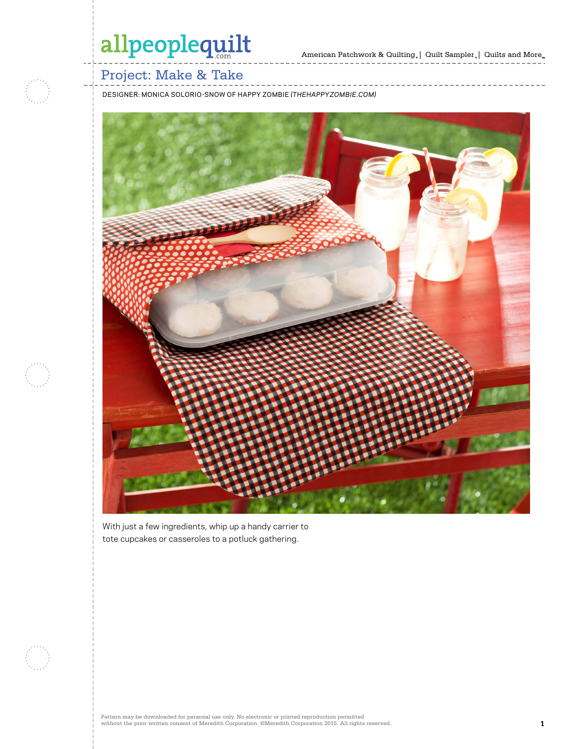

### Project: Make & Take

DESIGNER: MONICA SOLORIO-SNOW OF HAPPY ZOMBIE *(THEHAPPYZOMBIE.COM)*



With just a few ingredients, whip up a handy carrier to tote cupcakes or casseroles to a potluck gathering.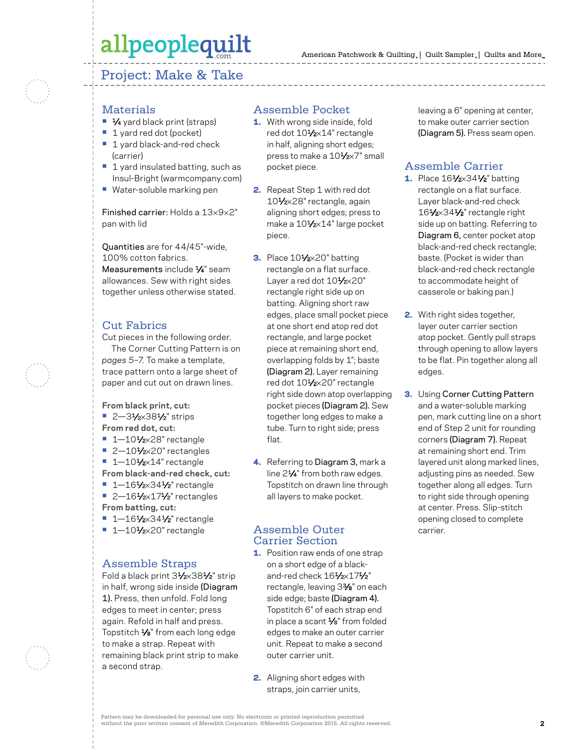### Project: Make & Take



#### **Materials**

- 1⁄4 yard black print (straps)
- **•** 1 yard red dot (pocket)
- **•** 1 yard black-and-red check (carrier)
- **•** 1 yard insulated batting, such as Insul-Bright (warmcompany.com)
- **•** Water-soluble marking pen

Finished carrier: Holds a 13×9×2" pan with lid

Quantities are for 44/45"-wide, 100% cotton fabrics. Measurements include  $\frac{1}{4}$ " seam allowances. Sew with right sides together unless otherwise stated.

### Cut Fabrics

Cut pieces in the following order.

The Corner Cutting Pattern is on *pages 5–7.* To make a template, trace pattern onto a large sheet of paper and cut out on drawn lines.

**From black print, cut:**

- 2-31⁄<sub>2</sub>×381⁄<sub>2</sub>" strips
- **From red dot, cut:**
- **•** 1—101⁄2×28" rectangle
- 2-101⁄2×20" rectangles
- **•** 1-101/2×14" rectangle
- **From black-and-red check, cut: •** 1—161⁄2×341⁄2" rectangle
- 2-161⁄<sub>2×171</sub>⁄<sub>2</sub>" rectangles **From batting, cut:**
- 1-161⁄2×341⁄2" rectangle
- **•** 1—101⁄2×20" rectangle

### Assemble Straps

Fold a black print 31⁄2×381⁄2" strip in half, wrong side inside (Diagram 1). Press, then unfold. Fold long edges to meet in center; press again. Refold in half and press. Topstitch  $\frac{1}{8}$ " from each long edge to make a strap. Repeat with remaining black print strip to make a second strap.

#### Assemble Pocket

- 1. With wrong side inside, fold red dot 101/2×14" rectangle in half, aligning short edges; press to make a 10<sup>1/2×7</sup>" small pocket piece.
- 2. Repeat Step 1 with red dot 101⁄2×28" rectangle, again aligning short edges; press to make a 101/2×14" large pocket piece.
- **3.** Place 10<sup>1</sup>/2×20" batting rectangle on a flat surface. Layer a red dot 101/2×20" rectangle right side up on batting. Aligning short raw edges, place small pocket piece at one short end atop red dot rectangle, and large pocket piece at remaining short end, overlapping folds by 1"; baste (Diagram 2). Layer remaining red dot 101/2×20" rectangle right side down atop overlapping pocket pieces (Diagram 2). Sew together long edges to make a tube. Turn to right side; press flat.
- 4. Referring to Diagram 3, mark a line 21⁄4" from both raw edges. Topstitch on drawn line through all layers to make pocket.

### Assemble Outer Carrier Section

- 1. Position raw ends of one strap on a short edge of a blackand-red check 161/2×171/2" rectangle, leaving 33⁄8" on each side edge; baste (Diagram 4). Topstitch 6" of each strap end in place a scant  $\frac{1}{8}$ " from folded edges to make an outer carrier unit. Repeat to make a second outer carrier unit.
- 2. Aligning short edges with straps, join carrier units,

leaving a 6" opening at center, to make outer carrier section (Diagram 5). Press seam open.

### Assemble Carrier

- 1. Place 161⁄2×341⁄2" batting rectangle on a flat surface. Layer black-and-red check 161/2×341/2" rectangle right side up on batting. Referring to Diagram 6, center pocket atop black-and-red check rectangle; baste. (Pocket is wider than black-and-red check rectangle to accommodate height of casserole or baking pan.)
- 2. With right sides together, layer outer carrier section atop pocket. Gently pull straps through opening to allow layers to be flat. Pin together along all edges.
- **3.** Using Corner Cutting Pattern and a water-soluble marking pen, mark cutting line on a short end of Step 2 unit for rounding corners (Diagram 7). Repeat at remaining short end. Trim layered unit along marked lines, adjusting pins as needed. Sew together along all edges. Turn to right side through opening at center. Press. Slip-stitch opening closed to complete carrier.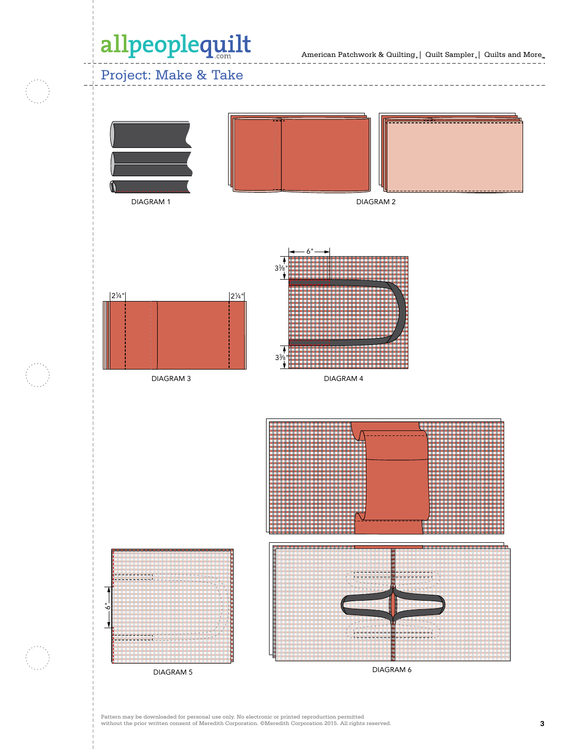American Patchwork & Quilting  $_{\circ} \, | \,$  Quilt Sampler  $_{\circ} \, | \,$  Quilts and More  $_{\circ \circ}$ 

## Project: Make & Take





 $MININ 2$ 



DIAGRAM 3



DIAGRAM 4

33 ⁄8"



DIAGRAM 5

.<br>ه

DIAGRAM 6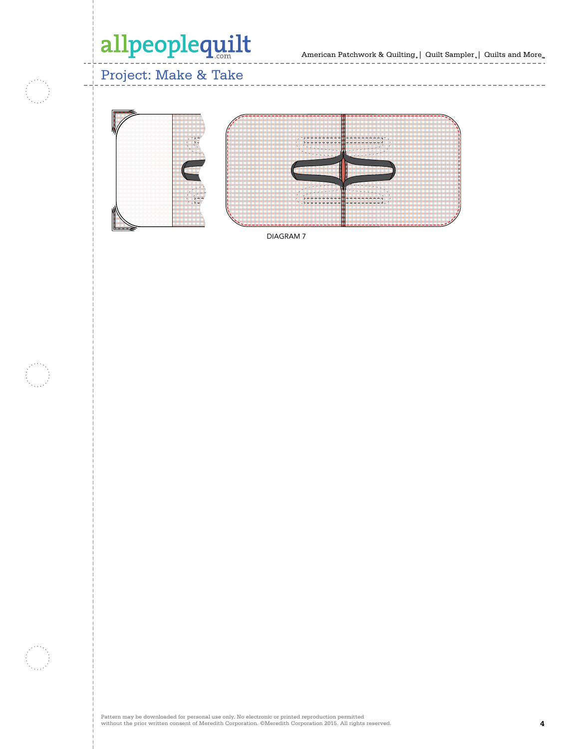American Patchwork & Quilting。| Quilt Sampler。| Quilts and More

 $\frac{1}{2}$ 

 $- - - - - -$ 

 $- - -$ 

### Project: Make & Take





 $\cdots \cdots \cdots \cdots \cdots$ 

DIAGRAM 7

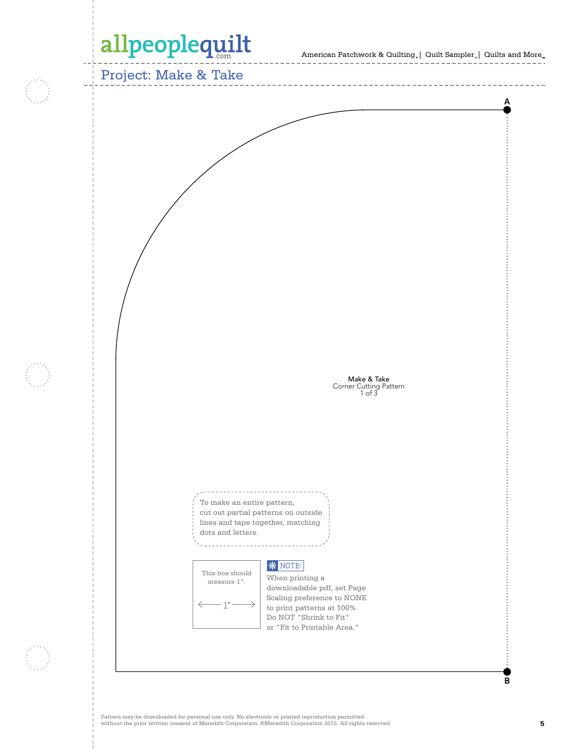American Patchwork & Quilting,  $|$  Quilt Sampler,  $|$  Quilts and More.

Project: Make & Take **A** Make & Take Corner Cutting Pattern 1 of 3 To make an entire pattern, cut out partial patterns on outside lines and tape together, matching dots and letters. . . . . . . . . . . . . . . . . . . . . **\*** NOTE: This box should When printing a measure 1".downloadable pdf, set Page Scaling preference to NONE - 1" to print patterns at 100%. Do NOT "Shrink to Fit" or "Fit to Printable Area." **B**

 $\cdots \cdots \cdots \cdots \cdots$ 

 $- - - - - - - -$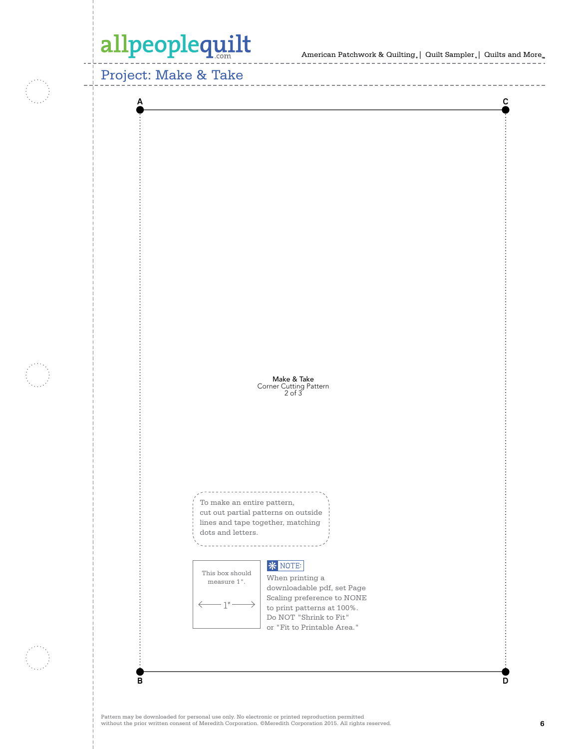American Patchwork & Quilting,  $|$  Quilt Sampler,  $|$  Quilts and More.

Project: Make & Take



 $\cdots \cdots \cdots \cdots \cdots$ 

 $\cdots \cdots \cdots \cdots \cdots$ 

Pattern may be downloaded for personal use only. No electronic or printed reproduction permitted without the prior written consent of Meredith Corporation. ©Meredith Corporation 2015. All rights reserved. **6**